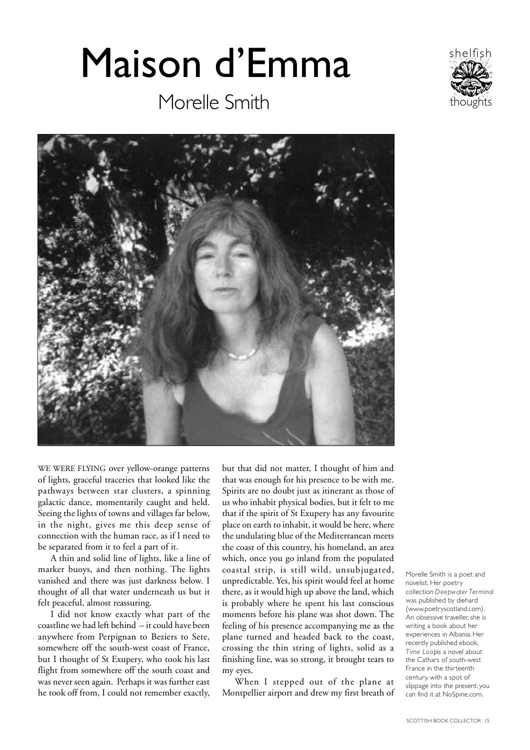## Maison d'Emma







WE WERE FLYING over yellow-orange patterns of lights, graceful traceries that looked like the pathways between star clusters, a spinning galactic dance, momentarily caught and held. Seeing the lights of towns and villages far below, in the night, gives me this deep sense of connection with the human race, as if I need to be separated from it to feel a part of it.

A thin and solid line of lights, like a line of marker buoys, and then nothing. The lights vanished and there was just darkness below. I thought of all that water underneath us but it felt peaceful, almost reassuring.

I did not know exactly what part of the coastline we had left behind – it could have been anywhere from Perpignan to Beziers to Sete, somewhere off the south-west coast of France, but I thought of St Exupery, who took his last flight from somewhere off the south coast and was never seen again. Perhaps it was further east he took off from, I could not remember exactly, but that did not matter, I thought of him and that was enough for his presence to be with me. Spirits are no doubt just as itinerant as those of us who inhabit physical bodies, but it felt to me that if the spirit of St Exupery has any favourite place on earth to inhabit, it would be here, where the undulating blue of the Mediterranean meets the coast of this country, his homeland, an area which, once you go inland from the populated coastal strip, is still wild, unsubjugated, unpredictable. Yes, his spirit would feel at home there, as it would high up above the land, which is probably where he spent his last conscious moments before his plane was shot down. The feeling of his presence accompanying me as the plane turned and headed back to the coast, crossing the thin string of lights, solid as a finishing line, was so strong, it brought tears to my eyes.

When I stepped out of the plane at Montpellier airport and drew my first breath of Morelle Smith is a poet and novelist. Her poetry collection *Deepwater Terminal* was published by diehard (www.poetryscotland.com). An obsessive traveller, she is writing a book about her experiences in Albania. Her recently published ebook, *Time Loopis a novel about* the Cathars of south-west France in the thirteenth century, with a spot of slippage into the present; you can find it at NoSpine.com.